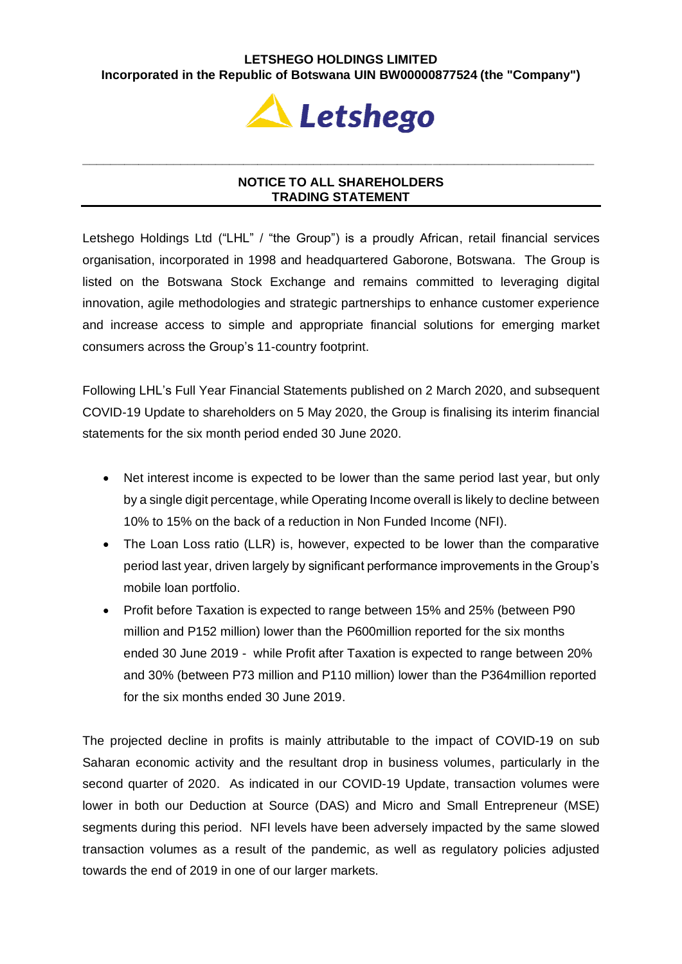## **LETSHEGO HOLDINGS LIMITED Incorporated in the Republic of Botswana UIN BW00000877524 (the "Company")**



## **NOTICE TO ALL SHAREHOLDERS TRADING STATEMENT**

**\_\_\_\_\_\_\_\_\_\_\_\_\_\_\_\_\_\_\_\_\_\_\_\_\_\_\_\_\_\_\_\_\_\_\_\_\_\_\_\_\_\_\_\_\_\_\_\_\_\_\_\_\_\_\_\_\_\_\_\_\_\_\_\_\_\_\_\_\_\_\_\_\_**

Letshego Holdings Ltd ("LHL" / "the Group") is a proudly African, retail financial services organisation, incorporated in 1998 and headquartered Gaborone, Botswana. The Group is listed on the Botswana Stock Exchange and remains committed to leveraging digital innovation, agile methodologies and strategic partnerships to enhance customer experience and increase access to simple and appropriate financial solutions for emerging market consumers across the Group's 11-country footprint.

Following LHL's Full Year Financial Statements published on 2 March 2020, and subsequent COVID-19 Update to shareholders on 5 May 2020, the Group is finalising its interim financial statements for the six month period ended 30 June 2020.

- Net interest income is expected to be lower than the same period last year, but only by a single digit percentage, while Operating Income overall is likely to decline between 10% to 15% on the back of a reduction in Non Funded Income (NFI).
- The Loan Loss ratio (LLR) is, however, expected to be lower than the comparative period last year, driven largely by significant performance improvements in the Group's mobile loan portfolio.
- Profit before Taxation is expected to range between 15% and 25% (between P90 million and P152 million) lower than the P600million reported for the six months ended 30 June 2019 - while Profit after Taxation is expected to range between 20% and 30% (between P73 million and P110 million) lower than the P364million reported for the six months ended 30 June 2019.

The projected decline in profits is mainly attributable to the impact of COVID-19 on sub Saharan economic activity and the resultant drop in business volumes, particularly in the second quarter of 2020. As indicated in our COVID-19 Update, transaction volumes were lower in both our Deduction at Source (DAS) and Micro and Small Entrepreneur (MSE) segments during this period. NFI levels have been adversely impacted by the same slowed transaction volumes as a result of the pandemic, as well as regulatory policies adjusted towards the end of 2019 in one of our larger markets.